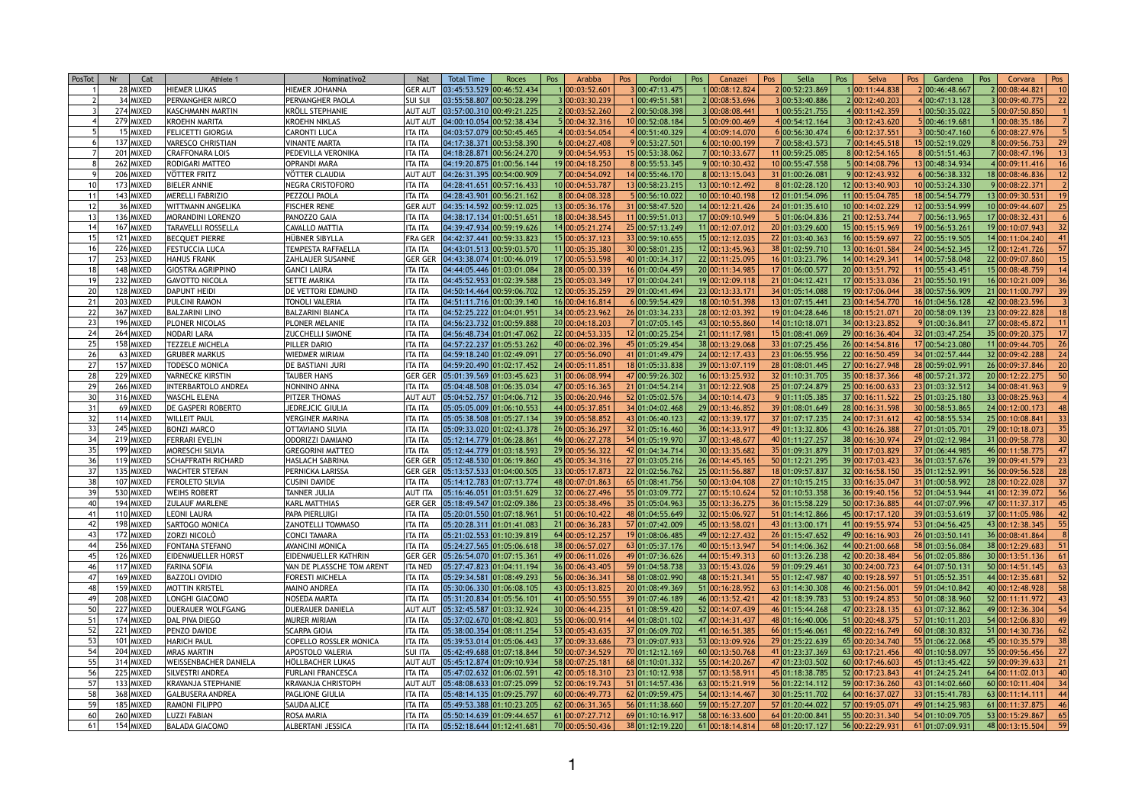| PosTot | Nr<br>Cat   | Athlete 1                    | Nominativo2               | <b>Nat</b>     | <b>Total Time</b>           | Roces | Pos | Arabba                     | Pos | Pordoi          | Pos | Canazei         | Pos | Sella           | Pos<br>Selva                                                                                    | Pos | Gardena         | Pos | Corvara               | Pos             |
|--------|-------------|------------------------------|---------------------------|----------------|-----------------------------|-------|-----|----------------------------|-----|-----------------|-----|-----------------|-----|-----------------|-------------------------------------------------------------------------------------------------|-----|-----------------|-----|-----------------------|-----------------|
|        | 28 MIXED    | <b>HIEMER LUKAS</b>          | HIEMER JOHANNA            | <b>GER AUT</b> | 03:45:53.529 00:46:52.434   |       |     | 1 00:03:52.60 <sup>,</sup> |     | 3 00:47:13.475  |     | 1 00:08:12.824  |     |                 | 00:11:44.838                                                                                    |     | 2 00:46:48.667  |     | 2 00:08:44.821        |                 |
|        | 34 MIXED    | <b>PERVANGHER MIRCO</b>      | PERVANGHER PAOLA          | <b>SUI SUI</b> | 03:55:58.807 00:50:28.299   |       |     | 3 00:03:30.239             |     | 00:49:51.581    |     | 2 00:08:53.696  |     | 00:53:40.886    | 2 00:12:40.203                                                                                  |     | 4 00:47:13.128  |     | 3 00:09:40.775        | 22              |
|        | 274 MIXED   | KASCHMANN MARTIN             | <b>KRÖLL STEPHANIE</b>    | <b>AUT AUT</b> | 03:57:00.310 00:49:21.225   |       |     | 2 00:03:52.260             |     | 2 00:50:08.398  |     | 3 00:08:08.441  |     | 00:55:21.755    | 4 00:11:42.359                                                                                  |     | 100:50:35.022   |     | 5 00:07:50.850        |                 |
|        | 279 MIXED   | KROEHN MARITA                | <b>KROEHN NIKLAS</b>      | <b>AUT AUT</b> | 04:00:10.054 00:52:38.434   |       |     | 5 00:04:32.316             |     | 10 00:52:08.184 |     | 5 00:09:00.469  |     | 00:54:12.164    | 3 00:12:43.620                                                                                  |     | 5 00:46:19.681  |     | 00:08:35.186          |                 |
|        | 15 MIXED    | <b>FELICETTI GIORGIA</b>     | <b>CARONTI LUCA</b>       | <b>ITA ITA</b> | 04:03:57.079 00:50:45.465   |       |     | 4 00:03:54.054             |     | 4 00:51:40.329  |     | 4 00:09:14.070  |     | 00:56:30.474    | 6 00:12:37.551                                                                                  |     | 3 00:50:47.160  |     | 6 00:08:27.976        |                 |
|        | 137 MIXED   | VARESCO CHRISTIAN            | <b>VINANTE MARTA</b>      | <b>ITA ITA</b> | 04:17:38.371 00:53:58.390   |       |     | 6 00:04:27.408             |     | 9 00:53:27.501  |     | 6 00:10:00.199  |     | 100:58:43.573   | 7 00:14:45.518                                                                                  |     | 15 00:52:19.029 |     | 8 00:09:56.753        | 29              |
|        | 201 MIXED   | <b>CRAFFONARA LOIS</b>       | PEDEVILLA VERONIKA        | <b>ITA ITA</b> | 04:18:28.871 00:56:24.270   |       |     | 9 00:04:54.953             |     | 15 00:53:38.062 |     | 700:10:33.677   |     | 1 00:59:25.085  | 8 00:12:54.165                                                                                  |     | 8 00:51:51.463  |     | 7 00:08:47.196        |                 |
|        | 262 MIXED   | <b>RODIGARI MATTEO</b>       | <b>OPRANDI MARA</b>       | <b>ITA ITA</b> | 04:19:20.875 01:00:56.144   |       |     | 19 00:04:18.250            |     | 8 00:55:53.345  |     | 9 00:10:30.432  |     | 0 00:55:47.558  | 5 00:14:08.796                                                                                  |     | 13 00:48:34.934 |     | 4 00:09:11.416        |                 |
|        | 206 MIXED   | VÖTTER FRITZ                 | VÖTTER CLAUDIA            | <b>AUT AUT</b> | 04:26:31.395 00:54:00.909   |       |     | 7 00:04:54.092             |     | 14 00:55:46.170 |     | 8 00:13:15.043  |     | 31 01:00:26.081 | 9 00:12:43.932                                                                                  |     | 6 00:56:38.332  |     | 18 00:08:46.836       |                 |
|        | 173 MIXED   | <b>BIELER ANNIE</b>          | NEGRA CRISTOFORO          | <b>ITA ITA</b> | 04:28:41.651 00:57:16.433   |       |     | 10 00:04:53.787            |     | 13 00:58:23.215 |     | 13 00:10:12.492 |     | 8 01:02:28.120  | 12 00:13:40.903                                                                                 |     | 10 00:53:24.330 |     | 9 00:08:22.371        |                 |
|        | 143 MIXED   | <b>MERELLI FABRIZIO</b>      | PEZZOLI PAOLA             | <b>ITA ITA</b> | 04:28:43.901 00:56:21.162   |       |     | 8 00:04:08.328             |     | 5 00:56:10.022  |     | 10 00:10:40.198 |     | 12 01:01:54.096 | 11 00:15:04.785                                                                                 |     | 18 00:54:54.779 |     | 13 00:09:30.531       |                 |
|        | 36 MIXED    | WITTMANN ANGELIKA            | <b>FISCHER RENE</b>       | <b>GER AUT</b> | 04:35:14.592 00:59:12.025   |       |     | 13 00:05:36.176            |     | 31 00:58:47.520 |     | 14 00:12:21.426 |     | 24 01:01:35.610 | 10 00:14:02.229                                                                                 |     | 12 00:53:54.999 |     | 10 00:09:44.607       |                 |
|        | 136 MIXED   | MORANDINI LORENZO            | PANOZZO GAIA              | <b>ITA ITA</b> | 04:38:17.134 01:00:51.651   |       |     | 18 00:04:38.545            |     | 11 00:59:51.013 |     | 17 00:09:10.949 |     | 01:06:04.836    | 21 00:12:53.744                                                                                 |     | 7 00:56:13.965  |     | 17 00:08:32.431       |                 |
|        | 167 MIXED   | TARAVELLI ROSSELLA           | CAVALLO MATTIA            | <b>ITA ITA</b> | 04:39:47.934 00:59:19.626   |       |     | 14 00:05:21.274            |     | 25 00:57:13.249 |     | 11 00:12:07.017 |     | 20 01:03:29.600 | 15 00:15:15.969                                                                                 |     | 19 00:56:53.261 |     | 19 00:10:07.943       |                 |
|        | 121 MIXED   | <b>BECQUET PIERRE</b>        | HÜBNER SIBYLLA            | <b>FRA GER</b> | 04:42:37.441 00:59:33.823   |       |     | 15 00:05:37.123            |     | 33 00:59:10.655 |     | 15 00:12:12.035 |     | 22 01:03:40.363 | 16 00:15:59.697                                                                                 |     | 22 00:55:19.505 |     | 14 00:11:04.240       |                 |
|        | 226 MIXED   | <b>FESTUCCIA LUCA</b>        | TEMPESTA RAFFAELLA        | <b>ITA ITA</b> | 04:43:01.513 00:59:03.570   |       |     | 11 00:05:35.380            |     | 30 00:58:01.235 |     | 12 00:13:45.963 |     | 38 01:02:59.710 | 13 00:16:01.584                                                                                 |     | 24 00:54:52.345 |     | 12 00:12:41.726       |                 |
|        | 253 MIXED   | <b>HANUS FRANK</b>           | <b>ZAHLAUER SUSANNE</b>   | <b>GER GER</b> | [04:43:38.074]01:00:46.019  |       |     | 17 00:05:53.598            |     | 40 01:00:34.317 |     | 22 00:11:25.095 |     | 16 01:03:23.796 | 14 00:14:29.341                                                                                 |     | 14 00:57:58.048 |     | 22 00:09:07.860       |                 |
|        | 148 MIXED   | <b>GIOSTRA AGRIPPINO</b>     | <b>GANCI LAURA</b>        | <b>ITA ITA</b> | 04:44:05.446 01:03:01.084   |       |     | 28 00:05:00.339            |     | 16 01:00:04.459 |     | 20 00:11:34.985 |     | 17 01:06:00.577 | 20 00:13:51.792                                                                                 |     | 11 00:55:43.451 |     | 15 00:08:48.759       |                 |
|        | 232 MIXED   | GAVOTTO NICOLA               | <b>SETTE MARIKA</b>       | <b>ITA ITA</b> | 04:45:52.953 01:02:39.588   |       |     | 25 00:05:03.349            |     | 17 01:00:04.241 |     | 19 00:12:09.118 |     | 21 01:04:12.421 | 17 00:15:33.036                                                                                 |     | 21 00:55:50.191 |     | 16 00:10:21.009       |                 |
|        | 128 MIXED   | DAPUNT HEIDI                 | DE VETTORI EDMUND         | <b>ITA ITA</b> | 04:50:14.464 00:59:06.702   |       |     | 12 00:05:35.259            |     | 29 01:00:41.494 |     | 23 00:13:33.171 |     | 34 01:05:14.088 | 19 00:17:06.044                                                                                 |     | 38 00:57:56.909 |     | 21 00:11:00.797       |                 |
|        | 203 MIXED   | <b>PULCINI RAMON</b>         | <b>TONOLI VALERIA</b>     | <b>ITA ITA</b> | 04:51:11.716 01:00:39.140   |       |     | 16 00:04:16.814            |     | 6 00:59:54.429  |     | 18 00:10:51.398 |     | 13 01:07:15.441 | 23 00:14:54.770                                                                                 |     | 16 01:04:56.128 |     | 42 00:08:23.596       |                 |
|        | 367 MIXED   | <b>BALZARINI LINO</b>        | <b>BALZARINI BIANCA</b>   | ITA ITA        | 04:52:25.222 01:04:01.951   |       |     | 34 00:05:23.962            |     | 26 01:03:34.233 |     | 28 00:12:03.392 |     | 19 01:04:28.646 | 18 00:15:21.07                                                                                  |     | 20 00:58:09.139 |     | 23 00:09:22.828       |                 |
|        | 196 MIXED   | <b>PLONER NICOLAS</b>        | PLONER MELANIE            | <b>ITA ITA</b> | 04:56:23.732 01:00:59.888   |       |     | 20 00:04:18.203            |     | 7 01:07:05.145  |     | 43 00:10:55.860 |     | 14 01:10:18.071 | 34 00:13:23.852                                                                                 |     | 9 01:00:36.841  |     | 27 00:08:45.872       |                 |
|        | 264 MIXED   | <b>NODARI LARA</b>           | <b>ZUCCHELLI SIMONE</b>   | <b>ITA ITA</b> | 04:56:48.734 01:01:47.062   |       |     | 22 00:04:53.335            |     | 12 01:00:25.254 |     | 21 00:11:17.981 |     | 15 01:08:41.069 | 29 00:16:36.404                                                                                 |     | 32 01:03:47.254 |     | 35 00:09:20.375       |                 |
|        | 158 MIXED   | <b>TEZZELE MICHELA</b>       | PILLER DARIO              | <b>ITA ITA</b> | 04:57:22.237 01:05:53.262   |       |     | 40 00:06:02.396            |     | 45 01:05:29.454 |     | 38 00:13:29.068 |     | 33 01:07:25.456 | 26 00:14:54.816                                                                                 |     | 17 00:54:23.080 |     | 11 00:09:44.705       |                 |
|        | 63 MIXED    | <b>GRUBER MARKUS</b>         | WIEDMER MIRIAM            | <b>ITA ITA</b> | 04:59:18.240 01:02:49.091   |       |     | 27 00:05:56.090            |     | 41 01:01:49.479 |     | 24 00:12:17.433 |     | 23 01:06:55.956 | 22 00:16:50.459                                                                                 |     | 34 01:02:57.444 |     | 32 00:09:42.288       | 24              |
|        | 157 MIXED   | <b>TODESCO MONICA</b>        | DE BASTIANI JURI          | <b>ITA ITA</b> | 04:59:20.490 01:02:17.452   |       |     | 24 00:05:11.85             |     | 18 01:05:33.838 |     | 39 00:13:07.119 |     | 28 01:08:01.445 | 27 00:16:27.948                                                                                 |     | 28 00:59:02.991 |     | 26 00:09:37.846       | 20              |
|        | 229 MIXED   | <b>VARNECKE KIRSTIN</b>      | <b>TAUBER HANS</b>        | <b>GER GER</b> | 05:01:39.569 01:03:45.623   |       |     | 31 00:06:08.994            |     | 47 00:59:26.302 |     | 16 00:13:25.932 |     | 32 01:10:31.705 | 35 00:18:37.366                                                                                 |     | 48 00:57:21.372 |     | 20 00:12:22.275       |                 |
|        | 266 MIXED   | <b>INTERBARTOLO ANDREA</b>   | <b>NONNINO ANNA</b>       | ITA ITA        | 05:04:48.508 01:06:35.034   |       |     | 47 00:05:16.365            |     | 21 01:04:54.214 |     | 31 00:12:22.908 |     | 25 01:07:24.879 | 25 00:16:00.633                                                                                 |     | 23 01:03:32.512 |     | 34 00:08:41.963       |                 |
|        | 316 MIXED   | WASCHL ELENA                 | PITZER THOMAS             | <b>AUT AUT</b> | 05:04:52.757 01:04:06.712   |       |     | 35 00:06:20.946            |     | 52 01:05:02.576 |     | 34 00:10:14.473 |     | 01:11:05.385    | 37 00:16:11.522                                                                                 |     | 25 01:03:25.180 |     | 33 00:08:25.963       |                 |
|        | 69 MIXED    | <b>DE GASPERI ROBERTO</b>    | JEDREJCIC GIULIA          | <b>ITA ITA</b> | 05:05:05.009 01:06:10.553   |       |     | 44 00:05:37.85             |     | 34 01:04:02.468 |     | 29 00:13:46.852 |     | 39 01:08:01.649 | 28 00:16:31.598                                                                                 |     | 30 00:58:53.865 |     | 24 00:12:00.173       |                 |
|        | 114 MIXED   | <b>WILLEIT PAUL</b>          | <b>VERGINER MARINA</b>    | <b>ITA ITA</b> | 05:05:38.508 01:05:27.134   |       |     | 39 00:05:58.852            |     | 43 01:06:40.123 |     | 42 00:13:39.177 |     | 37 01:07:17.235 | 24 00:17:31.612                                                                                 |     | 42 00:58:55.534 |     | 25 00:10:08.841       |                 |
|        | 245 MIXED   | <b>BONZI MARCO</b>           | <b>OTTAVIANO SILVIA</b>   | <b>ITA ITA</b> | 05:09:33.020 01:02:43.378   |       |     | 26 00:05:36.297            |     | 32 01:05:16.460 |     | 36 00:14:33.917 |     | 49 01:13:32.806 | 43 00:16:26.388                                                                                 |     | 27 01:01:05.701 |     | 29 00:10:18.073       | 35 <sub>1</sub> |
|        | 219 MIXED   | <b>FERRARI EVELIN</b>        | <b>ODORIZZI DAMIANO</b>   | <b>ITA ITA</b> | 05:12:14.779 01:06:28.861   |       |     | 46 00:06:27.278            |     | 54 01:05:19.970 |     | 37 00:13:48.677 |     | 40 01:11:27.257 | 38 00:16:30.974                                                                                 |     | 29 01:02:12.984 |     | 31 00:09:58.778       | 30 <sup>1</sup> |
|        | 199 MIXED   | <b>MORESCHI SILVIA</b>       | <b>GREGORINI MATTEO</b>   | <b>ITA ITA</b> | 05:12:44.779 01:03:18.593   |       |     | 29 00:05:56.322            |     | 42 01:04:34.714 |     | 30 00:13:35.682 |     | 35 01:09:31.879 | 31 00:17:03.829                                                                                 |     | 37 01:06:44.985 |     | 46 00:11:58.775       |                 |
|        | 119 MIXED   | <b>SCHAFFRATH RICHARD</b>    | <b>HASLACH SABRINA</b>    | <b>GER GER</b> | 05:12:48.530 01:06:19.860   |       |     | 45 00:05:34.31             |     | 27 01:03:05.216 |     | 26 00:14:45.165 |     | 50 01:12:21.295 | 39 00:17:03.42.                                                                                 |     | 36 01:03:57.676 |     | 39 00:09:41.579       |                 |
|        | 135 MIXED   | WACHTER STEFAN               | PERNICKA LARISSA          | <b>GER GER</b> | 05:13:57.533 01:04:00.505   |       |     | 33 00:05:17.873            |     | 22 01:02:56.762 |     | 25 00:11:56.887 |     | 18 01:09:57.837 | 32 00:16:58.150                                                                                 |     | 35 01:12:52.991 |     | 56 00:09:56.528       | <b>28</b>       |
|        | 107 MIXED   | <b>FEROLETO SILVIA</b>       | CUSINI DAVIDE             | <b>ITA ITA</b> | 05:14:12.783 01:07:13.774   |       |     | 48 00:07:01.86             |     | 65 01:08:41.756 |     | 50 00:13:04.108 |     | 27 01:10:15.215 | 33 00:16:35.047                                                                                 |     | 31 01:00:58.992 |     | 28 00:10:22.028       |                 |
|        | 530 MIXED   | WEIHS ROBERT                 | <b>TANNER JULIA</b>       | <b>AUT ITA</b> | 05:16:46.051 01:03:51.629   |       |     | 32 00:06:27.496            |     | 55 01:03:09.772 |     | 27 00:15:10.624 |     | 52 01:10:53.358 | 36 00:19:40.156                                                                                 |     | 52 01:04:53.944 |     | 41 00:12:39.072       |                 |
|        | 194 MIXED   | <b>IZULAUF MARLENE</b>       | <b>KARL MATTHIAS</b>      | <b>GER GER</b> | 05:18:49.547 01:02:09.386   |       |     | 23 00:05:38.49             |     | 35 01:05:04.963 |     | 35 00:13:36.275 |     | 36 01:15:58.229 | 50 00:17:36.885                                                                                 |     | 44 01:07:07.996 |     | 47 00:11:37.317       |                 |
|        | 110 MIXED   | <b>LEONI LAURA</b>           | PAPA PIERLUIGI            | <b>ITA ITA</b> | 05:20:01.550 01:07:18.961   |       |     | 51 00:06:10.422            |     | 48 01:04:55.649 |     | 32 00:15:06.927 |     | 51 01:14:12.866 | 45 00:17:17.120                                                                                 |     | 39 01:03:53.619 |     | 37 00:11:05.986       |                 |
|        | 198 MIXED   | <b>SARTOGO MONICA</b>        | <b>ZANOTELLI TOMMASO</b>  | <b>ITA ITA</b> | 05:20:28.311 01:01:41.083   |       |     | 21 00:06:36.283            |     | 57 01:07:42.009 |     | 45 00:13:58.021 |     | 43 01:13:00.171 | 41 00:19:55.974                                                                                 |     | 53 01:04:56.425 |     | 43 00:12:38.345       |                 |
|        | 172 MIXED   | <b>ZORZI NICOLO</b>          | <b>CONCI TAMARA</b>       | <b>ITA ITA</b> | 05:21:02.553 01:10:39.819   |       |     | 64 00:05:12.257            |     | 19 01:08:06.485 |     | 49 00:12:27.432 |     | 26 01:15:47.652 | 49 00:16:16.903                                                                                 |     | 26 01:03:50.141 |     | 36 00:08:41.864       |                 |
|        | 256 MIXED   | <b>FONTANA STEFANO</b>       | <b>AVANCINI MONICA</b>    | <b>ITA ITA</b> | 05:24:27.565 01:05:06.618   |       |     | 38 00:06:57.027            |     | 63 01:05:37.176 |     | 40 00:15:13.947 |     | 54 01:14:06.362 | 44 00:21:00.668                                                                                 |     | 58 01:03:56.084 |     | 38 00:12:29.683       |                 |
|        | 126 MIXED   | EIDENMUELLER HORST           | EIDENMUELLER KATHRIN      | <b>GER GER</b> | 05:26:54.070 01:07:15.361   |       |     | 49 00:06:11.026            |     | 49 01:07:36.626 |     | 44 00:15:49.313 |     | 60 01:13:26.238 | 42 00:20:38.484                                                                                 |     | 56 01:02:05.886 |     | 30 00:13:51.136       |                 |
|        | 117 MIXED   | FARINA SOFIA                 | VAN DE PLASSCHE TOM ARENT | <b>ITA NED</b> | 05:27:47.823 01:04:11.194   |       |     | 36 00:06:43.405            |     | 59 01:04:58.738 |     | 33 00:15:43.026 |     | 59 01:09:29.461 | 30 00:24:00.72.                                                                                 |     | 64 01:07:50.131 |     | 50 00:14:51.145       |                 |
|        | 169 MIXED   | <b>BAZZOLI OVIDIO</b>        | FORESTI MICHELA           | <b>ITA ITA</b> |                             |       |     | 56 00:06:36.34             |     | 58 01:08:02.990 |     | 48 00:15:21.341 |     | 55 01:12:47.987 | 40 00:19:28.597                                                                                 |     | 51 01:05:52.351 |     | 44 00:12:35.681       |                 |
|        | 159 MIXED   | <b>MOTTIN KRISTEL</b>        | <b>MAINO ANDREA</b>       | <b>ITA ITA</b> | 05:30:06.330 01:06:08.105   |       |     | 43 00:05:13.82             |     | 20 01:08:49.369 |     | 51 00:16:28.952 |     | 63 01:14:30.308 | 46 00:21:56.001                                                                                 |     | 59 01:04:10.842 |     | 40 00:12:48.928       |                 |
|        | 208 MIXED   | LONGHI GIACOMO               | NOSEDA MARTA              | <b>ITA ITA</b> | 05:31:20.834 01:05:56.101   |       |     | 41 00:05:50.555            |     | 39 01:07:46.189 |     | 46 00:13:52.421 |     | 42 01:18:39.783 | 53 00:19:24.853                                                                                 |     | 50 01:08:38.960 |     | 52 00:11:11.972       |                 |
|        | 227 MIXED   | <b>DUERAUER WOLFGANG</b>     | <b>DUERAUER DANIELA</b>   | <b>AUT AUT</b> | 05:32:45.587 01:03:32.924   |       |     | 30 00:06:44.235            |     | 61 01:08:59.420 |     | 52 00:14:07.439 |     | 46 01:15:44.268 | 47 00:23:28.135                                                                                 |     | 63 01:07:32.862 |     | 49 00:12:36.304       |                 |
|        | 174 MIXED   | <b>DAL PIVA DIEGO</b>        | <b>MURER MIRIAM</b>       | <b>ITA ITA</b> | 05:37:02.670 01:08:42.803   |       |     | 55 00:06:00.914            |     | 44 01:08:01.102 |     | 47 00:14:31.437 |     | 48 01:16:40.006 | 51 00:20:48.375                                                                                 |     | 57 01:10:11.203 |     | 54 00:12:06.830       |                 |
|        | 221 MIXED   | <b>PENZO DAVIDE</b>          | <b>SCARPA GIOIA</b>       | <b>ITA ITA</b> | 05:38:00.354 01:08:11.254   |       |     | 53 00:05:43.635            |     | 37 01:06:09.702 |     | 41 00:16:51.385 |     | 66 01:15:46.061 | 48 00:22:16.749                                                                                 |     | 60 01:08:30.832 |     | 51 00:14:30.736       |                 |
|        | 101 MIXED   | IHARICH PAUL                 | COPELLO ROSSLER MONICA    | <b>ITA ITA</b> | 05:39:53.014 01:05:06.443   |       |     | 37 00:09:33.686            |     | 73 01:09:07.933 |     | 53 00:13:09.926 |     | 29 01:25:22.639 | 65 00:20:34.740                                                                                 |     | 55 01:06:22.068 |     | 45 00:10:35.579       |                 |
|        | 204 MIXED   | <b>MRAS MARTIN</b>           | APOSTOLO VALERIA          | <b>SUI ITA</b> | 05:42:49.688 01:07:18.844   |       |     | 50 00:07:34.529            |     | 70 01:12:12.169 |     | 60 00:13:50.768 |     | 41 01:23:37.369 | 63 00:17:21.456                                                                                 |     | 40 01:10:58.097 |     | 55 00:09:56.456       |                 |
|        | 314 MIXED   | <b>WEISSENBACHER DANIELA</b> | <b>HÖLLBACHER LUKAS</b>   | <b>AUT AUT</b> | 05:45:12.874 01:09:10.934   |       |     | 58 00:07:25.18             |     | 68 01:10:01.332 |     | 55 00:14:20.267 |     | 47 01:23:03.502 | 60 00:17:46.603                                                                                 |     | 45 01:13:45.422 |     | 59 00:09:39.633       |                 |
|        | 225 MIXED   | SILVESTRI ANDREA             | <b>FURLANI FRANCESCA</b>  | <b>ITA ITA</b> | 05:47:02.632 01:06:02.591   |       |     | 42 00:05:18.31             |     | 23 01:10:12.938 |     | 57 00:13:58.911 |     | 45 01:18:38.785 | 52 00:17:23.843                                                                                 |     | 41 01:24:25.241 |     | 64 00:11:02.013       |                 |
|        | 133 MIXED   | KRAVANJA STEPHANIE           | <b>KRAVANJA CHRISTOPH</b> | <b>AUT AUT</b> | 05:48:08.633 01:07:25.099   |       |     | 52 00:06:19.743            |     | 51 01:14:57.436 |     | 63 00:15:21.919 |     | 56 01:22:14.112 | 59 00:17:36.260                                                                                 |     | 43 01:14:02.660 |     | 60 00:10:11.404       |                 |
|        | 368 MIXED   | <b>GALBUSERA ANDREA</b>      | PAGLIONE GIULIA           | ITA ITA        | 05:48:14.135 01:09:25.797   |       |     | 60 00:06:49.77             |     | 62 01:09:59.475 |     | 54 00:13:14.467 |     | 30 01:25:11.702 | 64 00:16:37.027                                                                                 |     | 33 01:15:41.783 |     | 63 00:11:14.111       |                 |
|        | 185 MIXED   | <b>RAMONI FILIPPO</b>        | <b>SAUDA ALICE</b>        | <b>ITA ITA</b> | 05:49:53.388 01:10:23.205   |       |     | 62 00:06:31.365            |     | 56 01:11:38.660 |     | 59 00:15:27.207 |     | 57 01:20:44.022 | 57 00:19:05.071                                                                                 |     | 49 01:14:25.983 |     | 61 00:11:37.875       |                 |
|        | $260$ MIXED | LUZZI FABIAN                 | <b>ROSA MARIA</b>         | <b>ITA ITA</b> | 05:50:14.639 01:09:44.657   |       |     | 61 00:07:27.712            |     | 69 01:10:16.917 |     | 58 00:16:33.600 |     |                 | $\left  \begin{array}{c} 64 01:20:00.841 \end{array} \right $ 55 00:20:31.340   54 01:10:09.705 |     |                 |     | $53 00:15:29.867 $ 65 |                 |
|        | 154 MIXED   | <b>BALADA GIACOMO</b>        | <b>ALBERTANI JESSICA</b>  | <b>ITA ITA</b> | $05:52:18.644$ 01:12:41.681 |       |     | 70 00:05:50.436            |     | 38 01:12:19.220 |     | 61 00:18:14.814 |     | 68 01:20:17.127 | 56 00:22:29.931                                                                                 |     | 61 01:07:09.931 |     | 48 00:13:15.504 59    |                 |
|        |             |                              |                           |                |                             |       |     |                            |     |                 |     |                 |     |                 |                                                                                                 |     |                 |     |                       |                 |